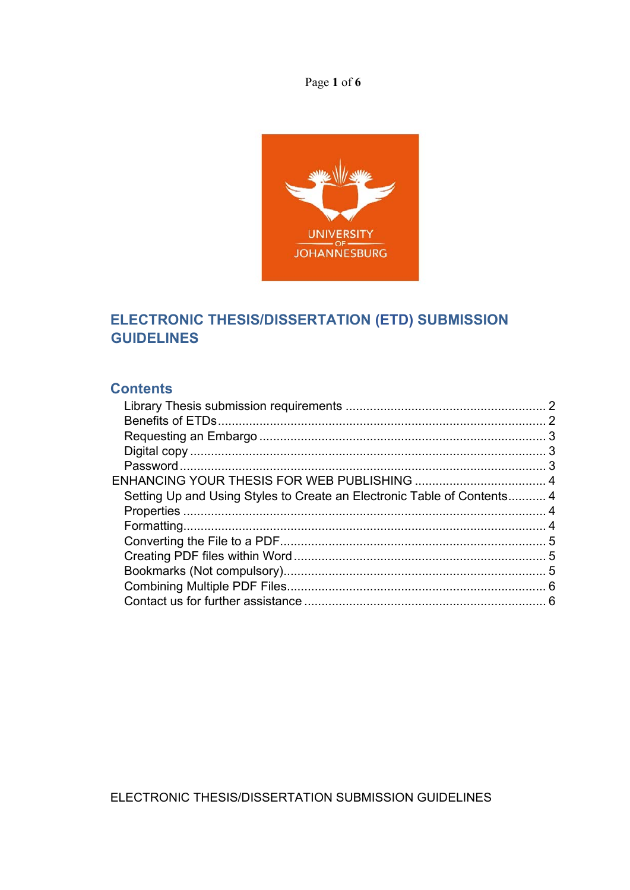Page 1 of 6



# ELECTRONIC THESIS/DISSERTATION (ETD) SUBMISSION **GUIDELINES**

# **Contents**

| Setting Up and Using Styles to Create an Electronic Table of Contents 4 |  |
|-------------------------------------------------------------------------|--|
|                                                                         |  |
|                                                                         |  |
|                                                                         |  |
|                                                                         |  |
|                                                                         |  |
|                                                                         |  |
|                                                                         |  |
|                                                                         |  |

ELECTRONIC THESIS/DISSERTATION SUBMISSION GUIDELINES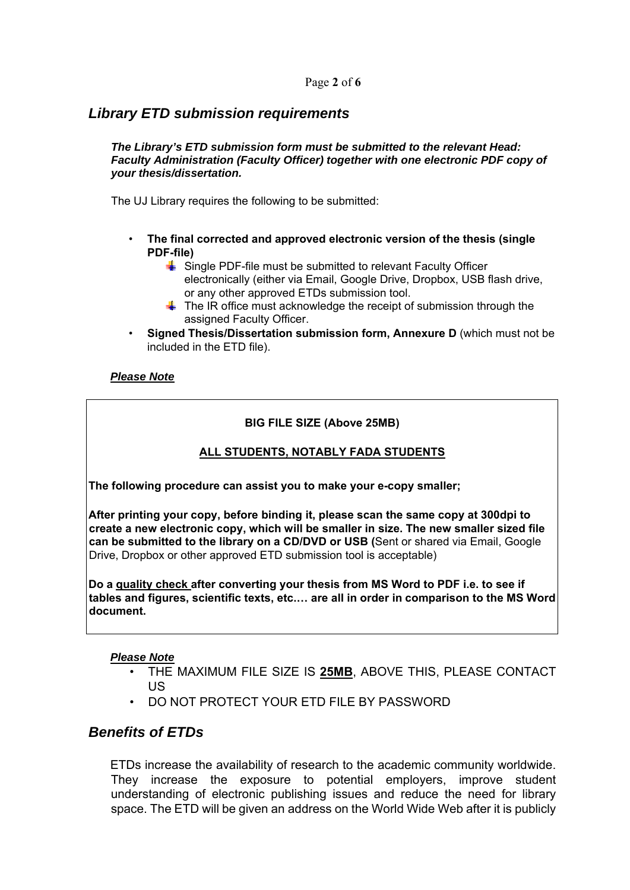# *Library ETD submission requirements*

#### *The Library's ETD submission form must be submitted to the relevant Head: Faculty Administration (Faculty Officer) together with one electronic PDF copy of your thesis/dissertation.*

The UJ Library requires the following to be submitted:

- **The final corrected and approved electronic version of the thesis (single PDF-file)**
	- $\frac{1}{2}$  Single PDF-file must be submitted to relevant Faculty Officer electronically (either via Email, Google Drive, Dropbox, USB flash drive, or any other approved ETDs submission tool.
	- $\ddot{\textbf{u}}$  The IR office must acknowledge the receipt of submission through the assigned Faculty Officer.
- **Signed Thesis/Dissertation submission form, Annexure D** (which must not be included in the ETD file).

#### *Please Note*

#### **BIG FILE SIZE (Above 25MB)**

#### **ALL STUDENTS, NOTABLY FADA STUDENTS**

**The following procedure can assist you to make your e-copy smaller;**

**After printing your copy, before binding it, please scan the same copy at 300dpi to create a new electronic copy, which will be smaller in size. The new smaller sized file can be submitted to the library on a CD/DVD or USB (**Sent or shared via Email, Google Drive, Dropbox or other approved ETD submission tool is acceptable)

**Do a quality check after converting your thesis from MS Word to PDF i.e. to see if tables and figures, scientific texts, etc.… are all in order in comparison to the MS Word document.**

#### *Please Note*

- THE MAXIMUM FILE SIZE IS **25MB**, ABOVE THIS, PLEASE CONTACT US
- DO NOT PROTECT YOUR ETD FILE BY PASSWORD

### *Benefits of ETDs*

ETDs increase the availability of research to the academic community worldwide. They increase the exposure to potential employers, improve student understanding of electronic publishing issues and reduce the need for library space. The ETD will be given an address on the World Wide Web after it is publicly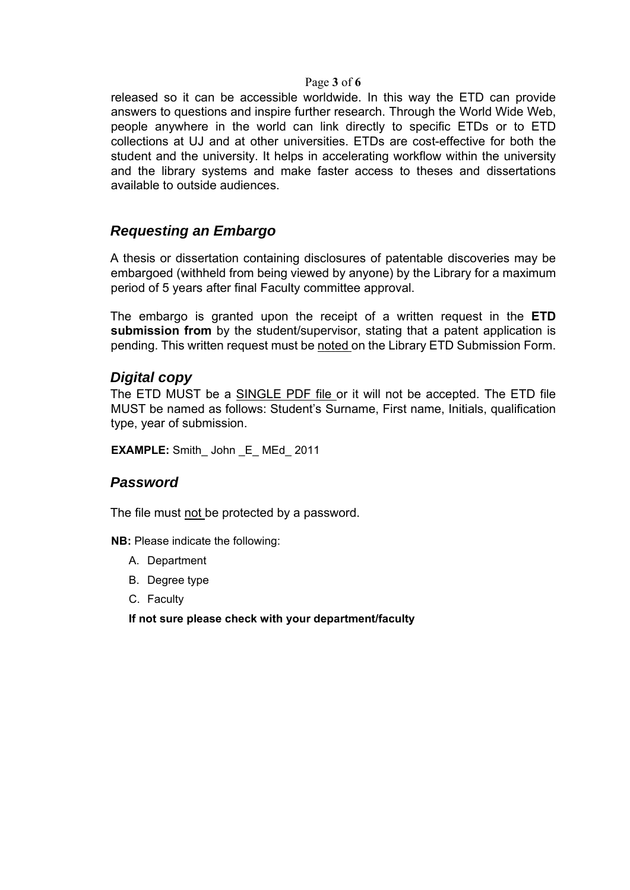#### Page **3** of **6**

released so it can be accessible worldwide. In this way the ETD can provide answers to questions and inspire further research. Through the World Wide Web, people anywhere in the world can link directly to specific ETDs or to ETD collections at UJ and at other universities. ETDs are cost-effective for both the student and the university. It helps in accelerating workflow within the university and the library systems and make faster access to theses and dissertations available to outside audiences.

## *Requesting an Embargo*

A thesis or dissertation containing disclosures of patentable discoveries may be embargoed (withheld from being viewed by anyone) by the Library for a maximum period of 5 years after final Faculty committee approval.

The embargo is granted upon the receipt of a written request in the **ETD submission from** by the student/supervisor, stating that a patent application is pending. This written request must be noted on the Library ETD Submission Form.

### *Digital copy*

The ETD MUST be a SINGLE PDF file or it will not be accepted. The ETD file MUST be named as follows: Student's Surname, First name, Initials, qualification type, year of submission.

**EXAMPLE:** Smith John E MEd 2011

### *Password*

The file must not be protected by a password.

**NB:** Please indicate the following:

- A. Department
- B. Degree type
- C. Faculty

**If not sure please check with your department/faculty**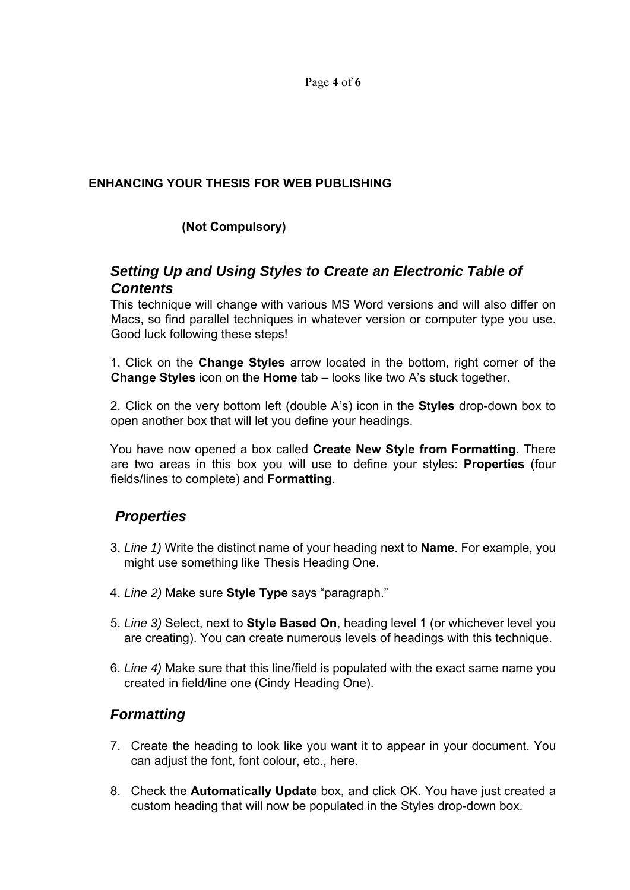Page **4** of **6**

#### **ENHANCING YOUR THESIS FOR WEB PUBLISHING**

## **(Not Compulsory)**

# *Setting Up and Using Styles to Create an Electronic Table of Contents*

This technique will change with various MS Word versions and will also differ on Macs, so find parallel techniques in whatever version or computer type you use. Good luck following these steps!

1. Click on the **Change Styles** arrow located in the bottom, right corner of the **Change Styles** icon on the **Home** tab – looks like two A's stuck together.

2. Click on the very bottom left (double A's) icon in the **Styles** drop-down box to open another box that will let you define your headings.

You have now opened a box called **Create New Style from Formatting**. There are two areas in this box you will use to define your styles: **Properties** (four fields/lines to complete) and **Formatting**.

# *Properties*

- 3. *Line 1)* Write the distinct name of your heading next to **Name**. For example, you might use something like Thesis Heading One.
- 4. *Line 2)* Make sure **Style Type** says "paragraph."
- 5. *Line 3)* Select, next to **Style Based On**, heading level 1 (or whichever level you are creating). You can create numerous levels of headings with this technique.
- 6. *Line 4)* Make sure that this line/field is populated with the exact same name you created in field/line one (Cindy Heading One).

# *Formatting*

- 7. Create the heading to look like you want it to appear in your document. You can adjust the font, font colour, etc., here.
- 8. Check the **Automatically Update** box, and click OK. You have just created a custom heading that will now be populated in the Styles drop-down box.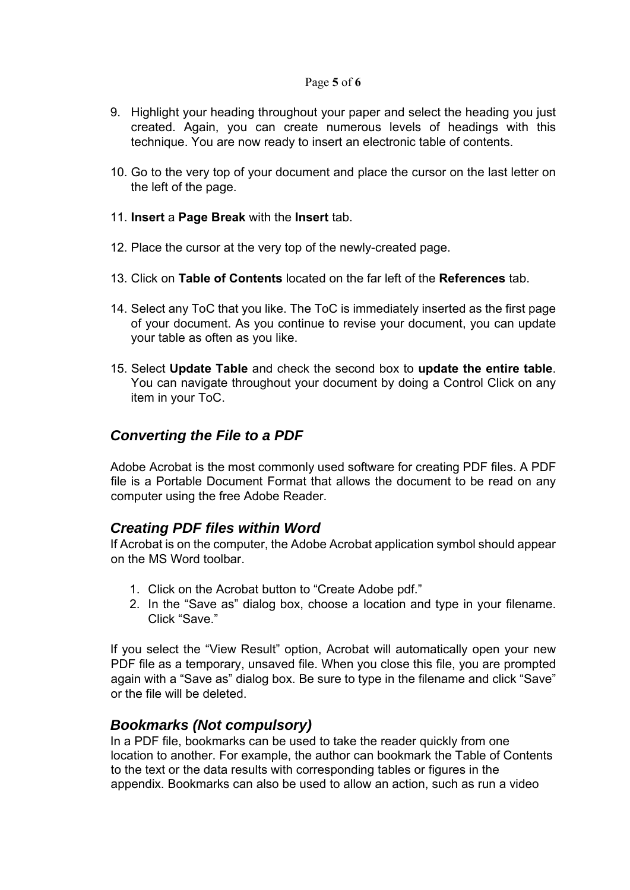#### Page **5** of **6**

- 9. Highlight your heading throughout your paper and select the heading you just created. Again, you can create numerous levels of headings with this technique. You are now ready to insert an electronic table of contents.
- 10. Go to the very top of your document and place the cursor on the last letter on the left of the page.
- 11. **Insert** a **Page Break** with the **Insert** tab.
- 12. Place the cursor at the very top of the newly-created page.
- 13. Click on **Table of Contents** located on the far left of the **References** tab.
- 14. Select any ToC that you like. The ToC is immediately inserted as the first page of your document. As you continue to revise your document, you can update your table as often as you like.
- 15. Select **Update Table** and check the second box to **update the entire table**. You can navigate throughout your document by doing a Control Click on any item in your ToC.

## *Converting the File to a PDF*

Adobe Acrobat is the most commonly used software for creating PDF files. A PDF file is a Portable Document Format that allows the document to be read on any computer using the free Adobe Reader.

### *Creating PDF files within Word*

If Acrobat is on the computer, the Adobe Acrobat application symbol should appear on the MS Word toolbar.

- 1. Click on the Acrobat button to "Create Adobe pdf."
- 2. In the "Save as" dialog box, choose a location and type in your filename. Click "Save."

If you select the "View Result" option, Acrobat will automatically open your new PDF file as a temporary, unsaved file. When you close this file, you are prompted again with a "Save as" dialog box. Be sure to type in the filename and click "Save" or the file will be deleted.

### *Bookmarks (Not compulsory)*

In a PDF file, bookmarks can be used to take the reader quickly from one location to another. For example, the author can bookmark the Table of Contents to the text or the data results with corresponding tables or figures in the appendix. Bookmarks can also be used to allow an action, such as run a video